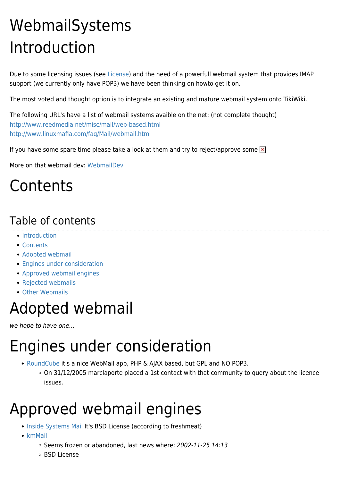# WebmailSystems Introduction

Due to some licensing issues (see [License\)](https://tiki.org/License) and the need of a powerfull webmail system that provides IMAP support (we currently only have POP3) we have been thinking on howto get it on.

The most voted and thought option is to integrate an existing and mature webmail system onto TikiWiki.

The following URL's have a list of webmail systems avaible on the net: (not complete thought) <http://www.reedmedia.net/misc/mail/web-based.html> <http://www.linuxmafia.com/faq/Mail/webmail.html>

If you have some spare time please take a look at them and try to reject/approve some  $\ge$ 

More on that webmail dev: [WebmailDev](https://tiki.org/WebmailDev)

#### **Contents**

#### Table of contents

- [Introduction](#page--1-0)
- [Contents](#page--1-0)
- [Adopted webmail](#page--1-0)
- **[Engines under consideration](#page--1-0)**
- [Approved webmail engines](#page--1-0)
- [Rejected webmails](#page--1-0)
- [Other Webmails](#page--1-0)

#### Adopted webmail

we hope to have one...

## Engines under consideration

- [RoundCube](http://www.roundcube.net) it's a nice WebMail app, PHP & AJAX based, but GPL and NO POP3.
	- $\circ$  On 31/12/2005 marclaporte placed a 1st contact with that community to query about the licence issues.

## Approved webmail engines

- [Inside Systems Mail](http://www.insidesystems.net/projects/project.php?projectid=4) It's BSD License (according to freshmeat)
- $\bullet$  [kmMail](http://kmmail.sourceforge.net/)
	- $\circ$  Seems frozen or abandoned, last news where: 2002-11-25 14:13
	- BSD License